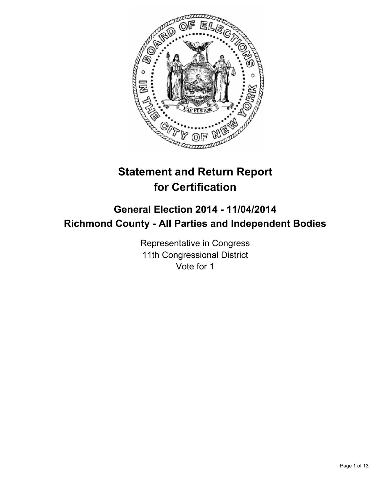

# **Statement and Return Report for Certification**

# **General Election 2014 - 11/04/2014 Richmond County - All Parties and Independent Bodies**

Representative in Congress 11th Congressional District Vote for 1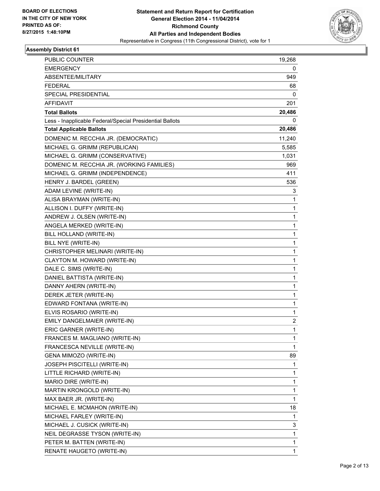

| <b>PUBLIC COUNTER</b>                                    | 19,268      |
|----------------------------------------------------------|-------------|
| <b>EMERGENCY</b>                                         | 0           |
| ABSENTEE/MILITARY                                        | 949         |
| <b>FEDERAL</b>                                           | 68          |
| <b>SPECIAL PRESIDENTIAL</b>                              | 0           |
| AFFIDAVIT                                                | 201         |
| <b>Total Ballots</b>                                     | 20,486      |
| Less - Inapplicable Federal/Special Presidential Ballots | 0           |
| <b>Total Applicable Ballots</b>                          | 20,486      |
| DOMENIC M. RECCHIA JR. (DEMOCRATIC)                      | 11,240      |
| MICHAEL G. GRIMM (REPUBLICAN)                            | 5,585       |
| MICHAEL G. GRIMM (CONSERVATIVE)                          | 1,031       |
| DOMENIC M. RECCHIA JR. (WORKING FAMILIES)                | 969         |
| MICHAEL G. GRIMM (INDEPENDENCE)                          | 411         |
| HENRY J. BARDEL (GREEN)                                  | 536         |
| ADAM LEVINE (WRITE-IN)                                   | 3           |
| ALISA BRAYMAN (WRITE-IN)                                 | 1           |
| ALLISON I. DUFFY (WRITE-IN)                              | 1           |
| ANDREW J. OLSEN (WRITE-IN)                               | 1           |
| ANGELA MERKED (WRITE-IN)                                 | 1           |
| BILL HOLLAND (WRITE-IN)                                  | $\mathbf 1$ |
| BILL NYE (WRITE-IN)                                      | 1           |
| CHRISTOPHER MELINARI (WRITE-IN)                          | 1           |
| CLAYTON M. HOWARD (WRITE-IN)                             | 1           |
| DALE C. SIMS (WRITE-IN)                                  | 1           |
| DANIEL BATTISTA (WRITE-IN)                               | 1           |
| DANNY AHERN (WRITE-IN)                                   | $\mathbf 1$ |
| DEREK JETER (WRITE-IN)                                   | 1           |
| EDWARD FONTANA (WRITE-IN)                                | 1           |
| ELVIS ROSARIO (WRITE-IN)                                 | 1           |
| EMILY DANGELMAIER (WRITE-IN)                             | 2           |
| ERIC GARNER (WRITE-IN)                                   | 1           |
| FRANCES M. MAGLIANO (WRITE-IN)                           | 1           |
| FRANCESCA NEVILLE (WRITE-IN)                             | 1           |
| GENA MIMOZO (WRITE-IN)                                   | 89          |
| JOSEPH PISCITELLI (WRITE-IN)                             | 1           |
| LITTLE RICHARD (WRITE-IN)                                | 1           |
| MARIO DIRE (WRITE-IN)                                    | 1           |
| MARTIN KRONGOLD (WRITE-IN)                               | 1           |
| MAX BAER JR. (WRITE-IN)                                  | 1           |
| MICHAEL E. MCMAHON (WRITE-IN)                            | 18          |
| MICHAEL FARLEY (WRITE-IN)                                | 1           |
| MICHAEL J. CUSICK (WRITE-IN)                             | 3           |
| NEIL DEGRASSE TYSON (WRITE-IN)                           | 1           |
| PETER M. BATTEN (WRITE-IN)                               | 1           |
| RENATE HAUGETO (WRITE-IN)                                | 1           |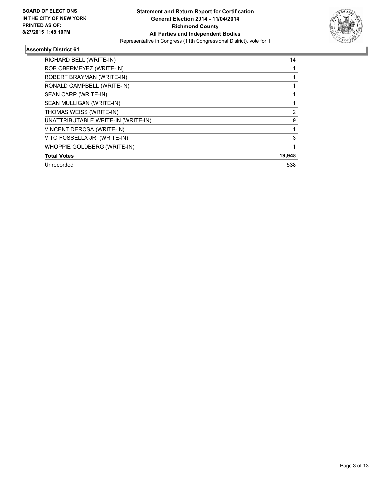

| RICHARD BELL (WRITE-IN)            | 14             |
|------------------------------------|----------------|
| ROB OBERMEYEZ (WRITE-IN)           |                |
| ROBERT BRAYMAN (WRITE-IN)          |                |
| RONALD CAMPBELL (WRITE-IN)         |                |
| SEAN CARP (WRITE-IN)               |                |
| SEAN MULLIGAN (WRITE-IN)           |                |
| THOMAS WEISS (WRITE-IN)            | $\overline{2}$ |
| UNATTRIBUTABLE WRITE-IN (WRITE-IN) | 9              |
| VINCENT DEROSA (WRITE-IN)          |                |
| VITO FOSSELLA JR. (WRITE-IN)       | 3              |
| WHOPPIE GOLDBERG (WRITE-IN)        |                |
| <b>Total Votes</b>                 | 19,948         |
| Unrecorded                         | 538            |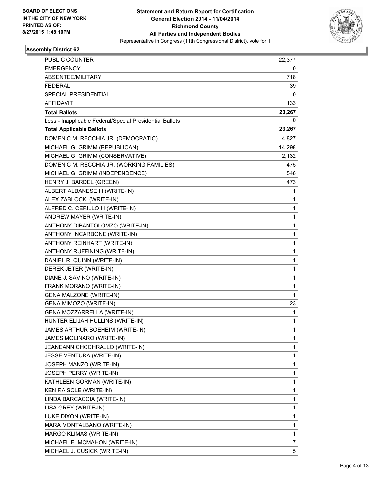

| <b>PUBLIC COUNTER</b>                                    | 22,377      |
|----------------------------------------------------------|-------------|
| <b>EMERGENCY</b>                                         | 0           |
| ABSENTEE/MILITARY                                        | 718         |
| <b>FEDERAL</b>                                           | 39          |
| SPECIAL PRESIDENTIAL                                     | 0           |
| AFFIDAVIT                                                | 133         |
| <b>Total Ballots</b>                                     | 23,267      |
| Less - Inapplicable Federal/Special Presidential Ballots | 0           |
| <b>Total Applicable Ballots</b>                          | 23,267      |
| DOMENIC M. RECCHIA JR. (DEMOCRATIC)                      | 4,827       |
| MICHAEL G. GRIMM (REPUBLICAN)                            | 14,298      |
| MICHAEL G. GRIMM (CONSERVATIVE)                          | 2,132       |
| DOMENIC M. RECCHIA JR. (WORKING FAMILIES)                | 475         |
| MICHAEL G. GRIMM (INDEPENDENCE)                          | 548         |
| HENRY J. BARDEL (GREEN)                                  | 473         |
| ALBERT ALBANESE III (WRITE-IN)                           | 1           |
| ALEX ZABLOCKI (WRITE-IN)                                 | 1           |
| ALFRED C. CERILLO III (WRITE-IN)                         | 1           |
| ANDREW MAYER (WRITE-IN)                                  | 1           |
| ANTHONY DIBANTOLOMZO (WRITE-IN)                          | 1           |
| ANTHONY INCARBONE (WRITE-IN)                             | $\mathbf 1$ |
| ANTHONY REINHART (WRITE-IN)                              | 1           |
| ANTHONY RUFFINING (WRITE-IN)                             | 1           |
| DANIEL R. QUINN (WRITE-IN)                               | 1           |
| DEREK JETER (WRITE-IN)                                   | 1           |
| DIANE J. SAVINO (WRITE-IN)                               | 1           |
| FRANK MORANO (WRITE-IN)                                  | $\mathbf 1$ |
| <b>GENA MALZONE (WRITE-IN)</b>                           | 1           |
| GENA MIMOZO (WRITE-IN)                                   | 23          |
| GENA MOZZARRELLA (WRITE-IN)                              | 1           |
| HUNTER ELIJAH HULLINS (WRITE-IN)                         | 1           |
| JAMES ARTHUR BOEHEIM (WRITE-IN)                          | 1           |
| JAMES MOLINARO (WRITE-IN)                                | 1           |
| JEANEANN CHCCHRALLO (WRITE-IN)                           | 1           |
| JESSE VENTURA (WRITE-IN)                                 | 1           |
| JOSEPH MANZO (WRITE-IN)                                  | 1           |
| JOSEPH PERRY (WRITE-IN)                                  | 1           |
| KATHLEEN GORMAN (WRITE-IN)                               | 1           |
| KEN RAISCLE (WRITE-IN)                                   | 1           |
| LINDA BARCACCIA (WRITE-IN)                               | 1           |
| LISA GREY (WRITE-IN)                                     | 1           |
| LUKE DIXON (WRITE-IN)                                    | 1           |
| MARA MONTALBANO (WRITE-IN)                               | 1           |
| MARGO KLIMAS (WRITE-IN)                                  | 1           |
| MICHAEL E. MCMAHON (WRITE-IN)                            | 7           |
| MICHAEL J. CUSICK (WRITE-IN)                             | 5           |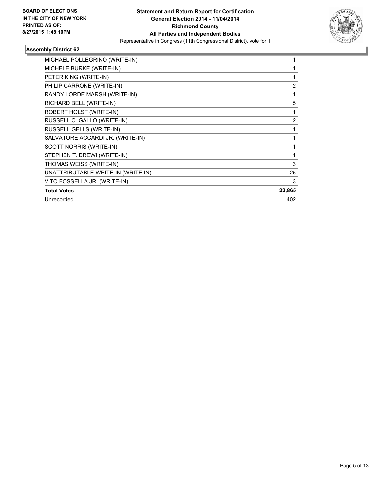

| MICHAEL POLLEGRINO (WRITE-IN)      |                |
|------------------------------------|----------------|
| MICHELE BURKE (WRITE-IN)           |                |
| PETER KING (WRITE-IN)              |                |
| PHILIP CARRONE (WRITE-IN)          | 2              |
| RANDY LORDE MARSH (WRITE-IN)       | 1              |
| RICHARD BELL (WRITE-IN)            | 5              |
| ROBERT HOLST (WRITE-IN)            |                |
| RUSSELL C. GALLO (WRITE-IN)        | $\overline{2}$ |
| RUSSELL GELLS (WRITE-IN)           |                |
| SALVATORE ACCARDI JR. (WRITE-IN)   | 1              |
| SCOTT NORRIS (WRITE-IN)            |                |
| STEPHEN T. BREWI (WRITE-IN)        |                |
| THOMAS WEISS (WRITE-IN)            | 3              |
| UNATTRIBUTABLE WRITE-IN (WRITE-IN) | 25             |
| VITO FOSSELLA JR. (WRITE-IN)       | 3              |
| <b>Total Votes</b>                 | 22,865         |
| Unrecorded                         | 402            |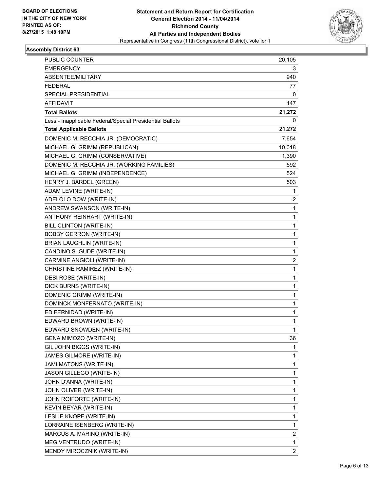

| <b>PUBLIC COUNTER</b>                                    | 20,105                  |
|----------------------------------------------------------|-------------------------|
| <b>EMERGENCY</b>                                         | 3                       |
| ABSENTEE/MILITARY                                        | 940                     |
| <b>FEDERAL</b>                                           | 77                      |
| SPECIAL PRESIDENTIAL                                     | 0                       |
| AFFIDAVIT                                                | 147                     |
| <b>Total Ballots</b>                                     | 21,272                  |
| Less - Inapplicable Federal/Special Presidential Ballots | 0                       |
| <b>Total Applicable Ballots</b>                          | 21,272                  |
| DOMENIC M. RECCHIA JR. (DEMOCRATIC)                      | 7,654                   |
| MICHAEL G. GRIMM (REPUBLICAN)                            | 10,018                  |
| MICHAEL G. GRIMM (CONSERVATIVE)                          | 1,390                   |
| DOMENIC M. RECCHIA JR. (WORKING FAMILIES)                | 592                     |
| MICHAEL G. GRIMM (INDEPENDENCE)                          | 524                     |
| HENRY J. BARDEL (GREEN)                                  | 503                     |
| ADAM LEVINE (WRITE-IN)                                   | 1                       |
| ADELOLO DOW (WRITE-IN)                                   | 2                       |
| ANDREW SWANSON (WRITE-IN)                                | 1                       |
| ANTHONY REINHART (WRITE-IN)                              | 1                       |
| <b>BILL CLINTON (WRITE-IN)</b>                           | 1                       |
| <b>BOBBY GERRON (WRITE-IN)</b>                           | 1                       |
| <b>BRIAN LAUGHLIN (WRITE-IN)</b>                         | 1                       |
| CANDINO S. GUDE (WRITE-IN)                               | 1                       |
| CARMINE ANGIOLI (WRITE-IN)                               | $\overline{\mathbf{c}}$ |
| CHRISTINE RAMIREZ (WRITE-IN)                             | 1                       |
| DEBI ROSE (WRITE-IN)                                     | 1                       |
| DICK BURNS (WRITE-IN)                                    | 1                       |
| DOMENIC GRIMM (WRITE-IN)                                 | 1                       |
| DOMINCK MONFERNATO (WRITE-IN)                            | 1                       |
| ED FERNIDAD (WRITE-IN)                                   | 1                       |
| EDWARD BROWN (WRITE-IN)                                  | 1                       |
| EDWARD SNOWDEN (WRITE-IN)                                | 1                       |
| GENA MIMOZO (WRITE-IN)                                   | 36                      |
| GIL JOHN BIGGS (WRITE-IN)                                | 1                       |
| JAMES GILMORE (WRITE-IN)                                 | 1                       |
| JAMI MATONS (WRITE-IN)                                   | 1                       |
| JASON GILLEGO (WRITE-IN)                                 | 1                       |
| JOHN D'ANNA (WRITE-IN)                                   | 1                       |
| JOHN OLIVER (WRITE-IN)                                   | 1                       |
| JOHN ROIFORTE (WRITE-IN)                                 | 1                       |
| KEVIN BEYAR (WRITE-IN)                                   | 1                       |
| LESLIE KNOPE (WRITE-IN)                                  | 1                       |
| LORRAINE ISENBERG (WRITE-IN)                             | 1                       |
| MARCUS A. MARINO (WRITE-IN)                              | 2                       |
| MEG VENTRUDO (WRITE-IN)                                  | 1                       |
| MENDY MIROCZNIK (WRITE-IN)                               | 2                       |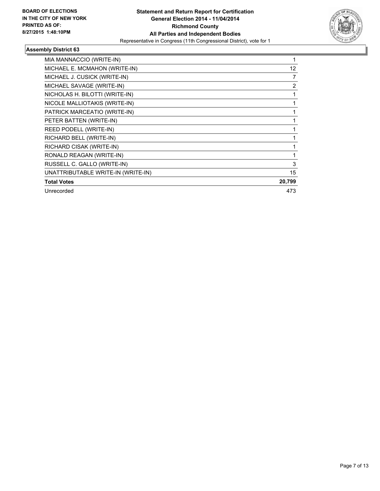

| MIA MANNACCIO (WRITE-IN)           |        |
|------------------------------------|--------|
| MICHAEL E. MCMAHON (WRITE-IN)      | 12     |
| MICHAEL J. CUSICK (WRITE-IN)       | 7      |
| MICHAEL SAVAGE (WRITE-IN)          | 2      |
| NICHOLAS H. BILOTTI (WRITE-IN)     |        |
| NICOLE MALLIOTAKIS (WRITE-IN)      |        |
| PATRICK MARCEATIO (WRITE-IN)       |        |
| PETER BATTEN (WRITE-IN)            |        |
| REED PODELL (WRITE-IN)             |        |
| RICHARD BELL (WRITE-IN)            |        |
| RICHARD CISAK (WRITE-IN)           |        |
| RONALD REAGAN (WRITE-IN)           |        |
| RUSSELL C. GALLO (WRITE-IN)        | 3      |
| UNATTRIBUTABLE WRITE-IN (WRITE-IN) | 15     |
| <b>Total Votes</b>                 | 20,799 |
| Unrecorded                         | 473    |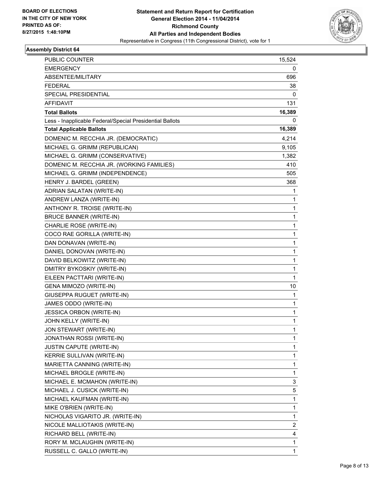

| PUBLIC COUNTER                                           | 15,524       |
|----------------------------------------------------------|--------------|
| <b>EMERGENCY</b>                                         | 0            |
| ABSENTEE/MILITARY                                        | 696          |
| <b>FEDERAL</b>                                           | 38           |
| SPECIAL PRESIDENTIAL                                     | 0            |
| AFFIDAVIT                                                | 131          |
| <b>Total Ballots</b>                                     | 16,389       |
| Less - Inapplicable Federal/Special Presidential Ballots | 0            |
| <b>Total Applicable Ballots</b>                          | 16,389       |
| DOMENIC M. RECCHIA JR. (DEMOCRATIC)                      | 4,214        |
| MICHAEL G. GRIMM (REPUBLICAN)                            | 9,105        |
| MICHAEL G. GRIMM (CONSERVATIVE)                          | 1,382        |
| DOMENIC M. RECCHIA JR. (WORKING FAMILIES)                | 410          |
| MICHAEL G. GRIMM (INDEPENDENCE)                          | 505          |
| HENRY J. BARDEL (GREEN)                                  | 368          |
| ADRIAN SALATAN (WRITE-IN)                                | 1            |
| ANDREW LANZA (WRITE-IN)                                  | 1            |
| ANTHONY R. TROISE (WRITE-IN)                             | 1            |
| <b>BRUCE BANNER (WRITE-IN)</b>                           | $\mathbf{1}$ |
| CHARLIE ROSE (WRITE-IN)                                  | 1            |
| COCO RAE GORILLA (WRITE-IN)                              | 1            |
| DAN DONAVAN (WRITE-IN)                                   | 1            |
| DANIEL DONOVAN (WRITE-IN)                                | 1            |
| DAVID BELKOWITZ (WRITE-IN)                               | 1            |
| DMITRY BYKOSKIY (WRITE-IN)                               | 1            |
| EILEEN PACTTARI (WRITE-IN)                               | 1            |
| GENA MIMOZO (WRITE-IN)                                   | 10           |
| GIUSEPPA RUGUET (WRITE-IN)                               | 1            |
| JAMES ODDO (WRITE-IN)                                    | 1            |
| <b>JESSICA ORBON (WRITE-IN)</b>                          | 1            |
| JOHN KELLY (WRITE-IN)                                    | 1            |
| JON STEWART (WRITE-IN)                                   | 1            |
| JONATHAN ROSSI (WRITE-IN)                                | 1            |
| JUSTIN CAPUTE (WRITE-IN)                                 | 1            |
| KERRIE SULLIVAN (WRITE-IN)                               | 1            |
| MARIETTA CANNING (WRITE-IN)                              | 1            |
| MICHAEL BROGLE (WRITE-IN)                                | 1            |
| MICHAEL E. MCMAHON (WRITE-IN)                            | 3            |
| MICHAEL J. CUSICK (WRITE-IN)                             | 5            |
| MICHAEL KAUFMAN (WRITE-IN)                               | 1            |
| MIKE O'BRIEN (WRITE-IN)                                  | 1            |
| NICHOLAS VIGARITO JR. (WRITE-IN)                         | 1            |
| NICOLE MALLIOTAKIS (WRITE-IN)                            | 2            |
| RICHARD BELL (WRITE-IN)                                  | 4            |
| RORY M. MCLAUGHIN (WRITE-IN)                             | 1            |
| RUSSELL C. GALLO (WRITE-IN)                              | $\mathbf{1}$ |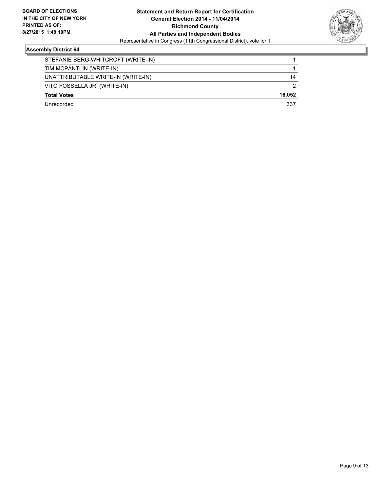

| STEFANIE BERG-WHITCROFT (WRITE-IN) |        |
|------------------------------------|--------|
| TIM MCPANTLIN (WRITE-IN)           |        |
| UNATTRIBUTABLE WRITE-IN (WRITE-IN) | 14     |
| VITO FOSSELLA JR. (WRITE-IN)       | 2      |
| <b>Total Votes</b>                 | 16.052 |
| Unrecorded                         | 337    |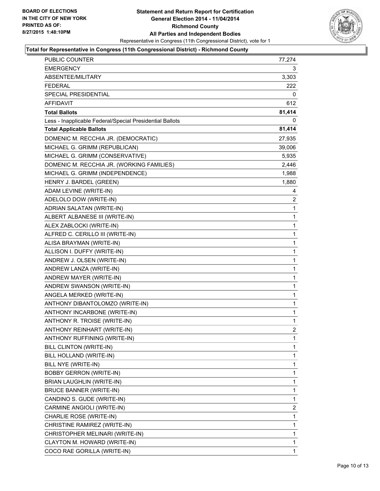

| <b>PUBLIC COUNTER</b>                                    | 77,274 |
|----------------------------------------------------------|--------|
| <b>EMERGENCY</b>                                         | 3      |
| ABSENTEE/MILITARY                                        | 3,303  |
| FEDERAL                                                  | 222    |
| SPECIAL PRESIDENTIAL                                     | 0      |
| AFFIDAVIT                                                | 612    |
| <b>Total Ballots</b>                                     | 81,414 |
| Less - Inapplicable Federal/Special Presidential Ballots | 0      |
| <b>Total Applicable Ballots</b>                          | 81,414 |
| DOMENIC M. RECCHIA JR. (DEMOCRATIC)                      | 27,935 |
| MICHAEL G. GRIMM (REPUBLICAN)                            | 39,006 |
| MICHAEL G. GRIMM (CONSERVATIVE)                          | 5,935  |
| DOMENIC M. RECCHIA JR. (WORKING FAMILIES)                | 2,446  |
| MICHAEL G. GRIMM (INDEPENDENCE)                          | 1,988  |
| HENRY J. BARDEL (GREEN)                                  | 1,880  |
| ADAM LEVINE (WRITE-IN)                                   | 4      |
| ADELOLO DOW (WRITE-IN)                                   | 2      |
| ADRIAN SALATAN (WRITE-IN)                                | 1      |
| ALBERT ALBANESE III (WRITE-IN)                           | 1      |
| ALEX ZABLOCKI (WRITE-IN)                                 | 1      |
| ALFRED C. CERILLO III (WRITE-IN)                         | 1      |
| ALISA BRAYMAN (WRITE-IN)                                 | 1      |
| ALLISON I. DUFFY (WRITE-IN)                              | 1      |
| ANDREW J. OLSEN (WRITE-IN)                               | 1      |
| ANDREW LANZA (WRITE-IN)                                  | 1      |
| ANDREW MAYER (WRITE-IN)                                  | 1      |
| ANDREW SWANSON (WRITE-IN)                                | 1      |
| ANGELA MERKED (WRITE-IN)                                 | 1      |
| ANTHONY DIBANTOLOMZO (WRITE-IN)                          | 1      |
| ANTHONY INCARBONE (WRITE-IN)                             | 1      |
| ANTHONY R. TROISE (WRITE-IN)                             | 1      |
| ANTHONY REINHART (WRITE-IN)                              | 2      |
| ANTHONY RUFFINING (WRITE-IN)                             | 1      |
| BILL CLINTON (WRITE-IN)                                  | 1      |
| BILL HOLLAND (WRITE-IN)                                  | 1      |
| BILL NYE (WRITE-IN)                                      | 1      |
| <b>BOBBY GERRON (WRITE-IN)</b>                           | 1      |
| BRIAN LAUGHLIN (WRITE-IN)                                | 1      |
| <b>BRUCE BANNER (WRITE-IN)</b>                           | 1      |
| CANDINO S. GUDE (WRITE-IN)                               | 1      |
| CARMINE ANGIOLI (WRITE-IN)                               | 2      |
| CHARLIE ROSE (WRITE-IN)                                  | 1      |
| CHRISTINE RAMIREZ (WRITE-IN)                             | 1      |
| CHRISTOPHER MELINARI (WRITE-IN)                          | 1      |
| CLAYTON M. HOWARD (WRITE-IN)                             | 1      |
| COCO RAE GORILLA (WRITE-IN)                              | 1      |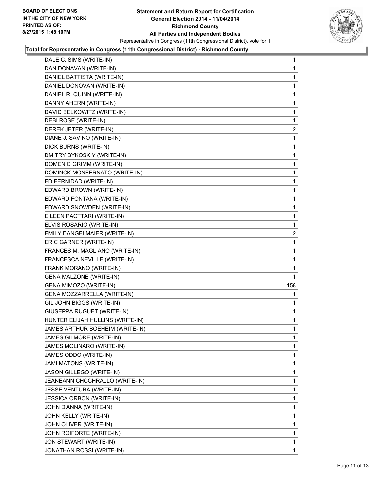

| DALE C. SIMS (WRITE-IN)          | 1              |
|----------------------------------|----------------|
| DAN DONAVAN (WRITE-IN)           | 1              |
| DANIEL BATTISTA (WRITE-IN)       | 1              |
| DANIEL DONOVAN (WRITE-IN)        | 1              |
| DANIEL R. QUINN (WRITE-IN)       | 1              |
| DANNY AHERN (WRITE-IN)           | 1              |
| DAVID BELKOWITZ (WRITE-IN)       | 1              |
| DEBI ROSE (WRITE-IN)             | 1              |
| DEREK JETER (WRITE-IN)           | $\overline{2}$ |
| DIANE J. SAVINO (WRITE-IN)       | 1              |
| DICK BURNS (WRITE-IN)            | 1              |
| DMITRY BYKOSKIY (WRITE-IN)       | 1              |
| DOMENIC GRIMM (WRITE-IN)         | 1              |
| DOMINCK MONFERNATO (WRITE-IN)    | 1              |
| ED FERNIDAD (WRITE-IN)           | 1              |
| EDWARD BROWN (WRITE-IN)          | 1              |
| EDWARD FONTANA (WRITE-IN)        | 1              |
| EDWARD SNOWDEN (WRITE-IN)        | 1              |
| EILEEN PACTTARI (WRITE-IN)       | 1              |
| ELVIS ROSARIO (WRITE-IN)         | 1              |
| EMILY DANGELMAIER (WRITE-IN)     | $\overline{2}$ |
| ERIC GARNER (WRITE-IN)           | 1              |
| FRANCES M. MAGLIANO (WRITE-IN)   | 1              |
| FRANCESCA NEVILLE (WRITE-IN)     | 1              |
| FRANK MORANO (WRITE-IN)          | 1              |
| <b>GENA MALZONE (WRITE-IN)</b>   | 1              |
| GENA MIMOZO (WRITE-IN)           | 158            |
| GENA MOZZARRELLA (WRITE-IN)      | 1              |
| GIL JOHN BIGGS (WRITE-IN)        | 1              |
| GIUSEPPA RUGUET (WRITE-IN)       | 1              |
| HUNTER ELIJAH HULLINS (WRITE-IN) | 1              |
| JAMES ARTHUR BOEHEIM (WRITE-IN)  | 1              |
| JAMES GILMORE (WRITE-IN)         | 1              |
| JAMES MOLINARO (WRITE-IN)        | 1              |
| JAMES ODDO (WRITE-IN)            | 1              |
| JAMI MATONS (WRITE-IN)           | 1              |
| JASON GILLEGO (WRITE-IN)         | 1              |
| JEANEANN CHCCHRALLO (WRITE-IN)   | 1              |
| JESSE VENTURA (WRITE-IN)         | 1              |
| <b>JESSICA ORBON (WRITE-IN)</b>  | 1              |
| JOHN D'ANNA (WRITE-IN)           | 1              |
| JOHN KELLY (WRITE-IN)            | 1              |
| JOHN OLIVER (WRITE-IN)           | 1              |
| JOHN ROIFORTE (WRITE-IN)         | 1              |
| JON STEWART (WRITE-IN)           | 1              |
| JONATHAN ROSSI (WRITE-IN)        | $\mathbf{1}$   |
|                                  |                |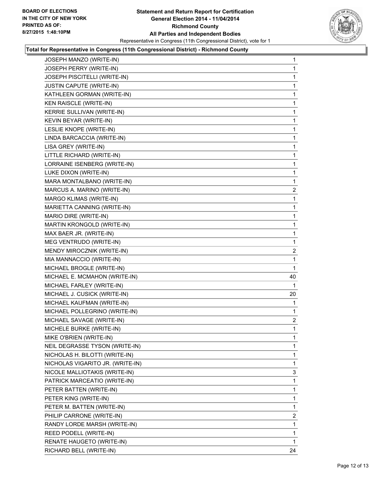

| JOSEPH MANZO (WRITE-IN)          | 1              |
|----------------------------------|----------------|
| JOSEPH PERRY (WRITE-IN)          | 1              |
| JOSEPH PISCITELLI (WRITE-IN)     | 1              |
| JUSTIN CAPUTE (WRITE-IN)         | 1              |
| KATHLEEN GORMAN (WRITE-IN)       | 1              |
| KEN RAISCLE (WRITE-IN)           | 1              |
| KERRIE SULLIVAN (WRITE-IN)       | 1              |
| KEVIN BEYAR (WRITE-IN)           | 1              |
| LESLIE KNOPE (WRITE-IN)          | 1              |
| LINDA BARCACCIA (WRITE-IN)       | 1              |
| LISA GREY (WRITE-IN)             | 1              |
| LITTLE RICHARD (WRITE-IN)        | 1              |
| LORRAINE ISENBERG (WRITE-IN)     | 1              |
| LUKE DIXON (WRITE-IN)            | 1              |
| MARA MONTALBANO (WRITE-IN)       | 1              |
| MARCUS A. MARINO (WRITE-IN)      | $\mathbf{2}$   |
| MARGO KLIMAS (WRITE-IN)          | 1              |
| MARIETTA CANNING (WRITE-IN)      | 1              |
| MARIO DIRE (WRITE-IN)            | 1              |
| MARTIN KRONGOLD (WRITE-IN)       | 1              |
| MAX BAER JR. (WRITE-IN)          | 1              |
| MEG VENTRUDO (WRITE-IN)          | 1              |
| MENDY MIROCZNIK (WRITE-IN)       | 2              |
| MIA MANNACCIO (WRITE-IN)         | 1              |
| MICHAEL BROGLE (WRITE-IN)        | 1              |
| MICHAEL E. MCMAHON (WRITE-IN)    | 40             |
| MICHAEL FARLEY (WRITE-IN)        | 1              |
| MICHAEL J. CUSICK (WRITE-IN)     | 20             |
| MICHAEL KAUFMAN (WRITE-IN)       | 1              |
| MICHAEL POLLEGRINO (WRITE-IN)    | 1              |
| MICHAEL SAVAGE (WRITE-IN)        | $\mathbf{2}$   |
| MICHELE BURKE (WRITE-IN)         | $\mathbf{1}$   |
| MIKE O'BRIEN (WRITE-IN)          | 1              |
| NEIL DEGRASSE TYSON (WRITE-IN)   | 1              |
| NICHOLAS H. BILOTTI (WRITE-IN)   | 1              |
| NICHOLAS VIGARITO JR. (WRITE-IN) | 1              |
| NICOLE MALLIOTAKIS (WRITE-IN)    | 3              |
| PATRICK MARCEATIO (WRITE-IN)     | 1              |
| PETER BATTEN (WRITE-IN)          | 1              |
| PETER KING (WRITE-IN)            | 1              |
| PETER M. BATTEN (WRITE-IN)       | 1              |
| PHILIP CARRONE (WRITE-IN)        | $\overline{2}$ |
| RANDY LORDE MARSH (WRITE-IN)     | 1              |
| REED PODELL (WRITE-IN)           | 1              |
| RENATE HAUGETO (WRITE-IN)        | 1              |
| RICHARD BELL (WRITE-IN)          | 24             |
|                                  |                |